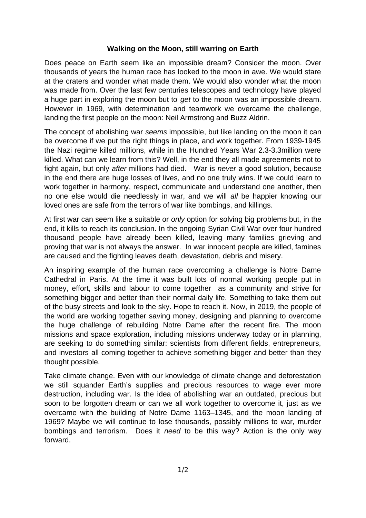## **Walking on the Moon, still warring on Earth**

Does peace on Earth seem like an impossible dream? Consider the moon. Over thousands of years the human race has looked to the moon in awe. We would stare at the craters and wonder what made them. We would also wonder what the moon was made from. Over the last few centuries telescopes and technology have played a huge part in exploring the moon but to *get* to the moon was an impossible dream. However in 1969, with determination and teamwork we overcame the challenge, landing the first people on the moon: Neil Armstrong and Buzz Aldrin.

The concept of abolishing war *seems* impossible, but like landing on the moon it can be overcome if we put the right things in place, and work together. From 1939-1945 the Nazi regime killed millions, while in the Hundred Years War 2.3-3.3million were killed. What can we learn from this? Well, in the end they all made agreements not to fight again, but only *after* millions had died. War is *never* a good solution, because in the end there are huge losses of lives, and no one truly wins. If we could learn to work together in harmony, respect, communicate and understand one another, then no one else would die needlessly in war, and we will *all* be happier knowing our loved ones are safe from the terrors of war like bombings, and killings.

At first war can seem like a suitable or *only* option for solving big problems but, in the end, it kills to reach its conclusion. In the ongoing Syrian Civil War over four hundred thousand people have already been killed, leaving many families grieving and proving that war is not always the answer. In war innocent people are killed, famines are caused and the fighting leaves death, devastation, debris and misery.

An inspiring example of the human race overcoming a challenge is Notre Dame Cathedral in Paris. At the time it was built lots of normal working people put in money, effort, skills and labour to come together as a community and strive for something bigger and better than their normal daily life. Something to take them out of the busy streets and look to the sky. Hope to reach it. Now, in 2019, the people of the world are working together saving money, designing and planning to overcome the huge challenge of rebuilding Notre Dame after the recent fire. The moon missions and space exploration, including missions underway today or in planning, are seeking to do something similar: scientists from different fields, entrepreneurs, and investors all coming together to achieve something bigger and better than they thought possible.

Take climate change. Even with our knowledge of climate change and deforestation we still squander Earth's supplies and precious resources to wage ever more destruction, including war. Is the idea of abolishing war an outdated, precious but soon to be forgotten dream or can we all work together to overcome it, just as we overcame with the building of Notre Dame 1163–1345, and the moon landing of 1969? Maybe we will continue to lose thousands, possibly millions to war, murder bombings and terrorism. Does it *need* to be this way? Action is the only way forward.